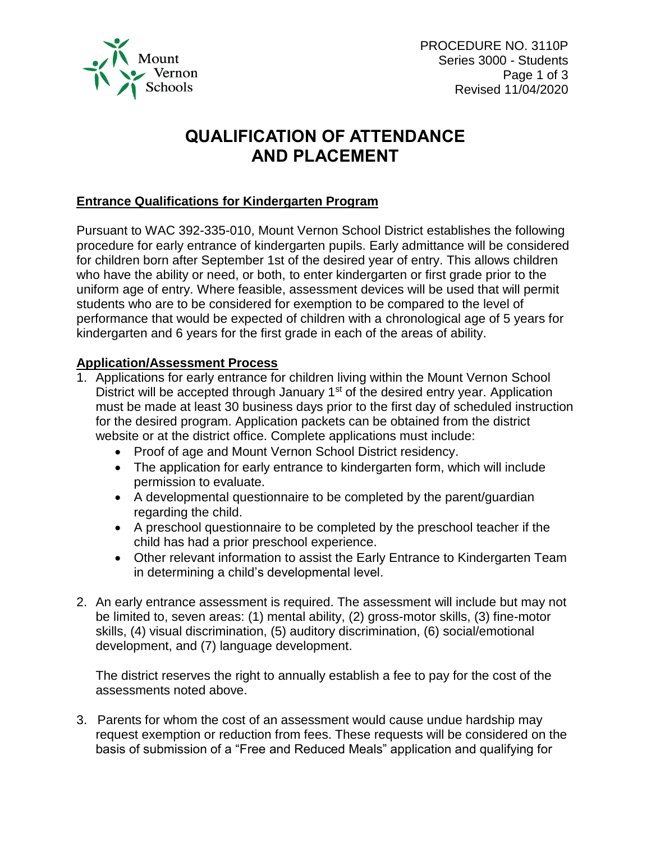

# **QUALIFICATION OF ATTENDANCE AND PLACEMENT**

### **Entrance Qualifications for Kindergarten Program**

Pursuant to WAC 392-335-010, Mount Vernon School District establishes the following procedure for early entrance of kindergarten pupils. Early admittance will be considered for children born after September 1st of the desired year of entry. This allows children who have the ability or need, or both, to enter kindergarten or first grade prior to the uniform age of entry. Where feasible, assessment devices will be used that will permit students who are to be considered for exemption to be compared to the level of performance that would be expected of children with a chronological age of 5 years for kindergarten and 6 years for the first grade in each of the areas of ability.

#### **Application/Assessment Process**

- 1. Applications for early entrance for children living within the Mount Vernon School District will be accepted through January  $1<sup>st</sup>$  of the desired entry year. Application must be made at least 30 business days prior to the first day of scheduled instruction for the desired program. Application packets can be obtained from the district website or at the district office. Complete applications must include:
	- Proof of age and Mount Vernon School District residency.
	- The application for early entrance to kindergarten form, which will include permission to evaluate.
	- A developmental questionnaire to be completed by the parent/guardian regarding the child.
	- A preschool questionnaire to be completed by the preschool teacher if the child has had a prior preschool experience.
	- Other relevant information to assist the Early Entrance to Kindergarten Team in determining a child's developmental level.
- 2. An early entrance assessment is required. The assessment will include but may not be limited to, seven areas: (1) mental ability, (2) gross-motor skills, (3) fine-motor skills, (4) visual discrimination, (5) auditory discrimination, (6) social/emotional development, and (7) language development.

The district reserves the right to annually establish a fee to pay for the cost of the assessments noted above.

3. Parents for whom the cost of an assessment would cause undue hardship may request exemption or reduction from fees. These requests will be considered on the basis of submission of a "Free and Reduced Meals" application and qualifying for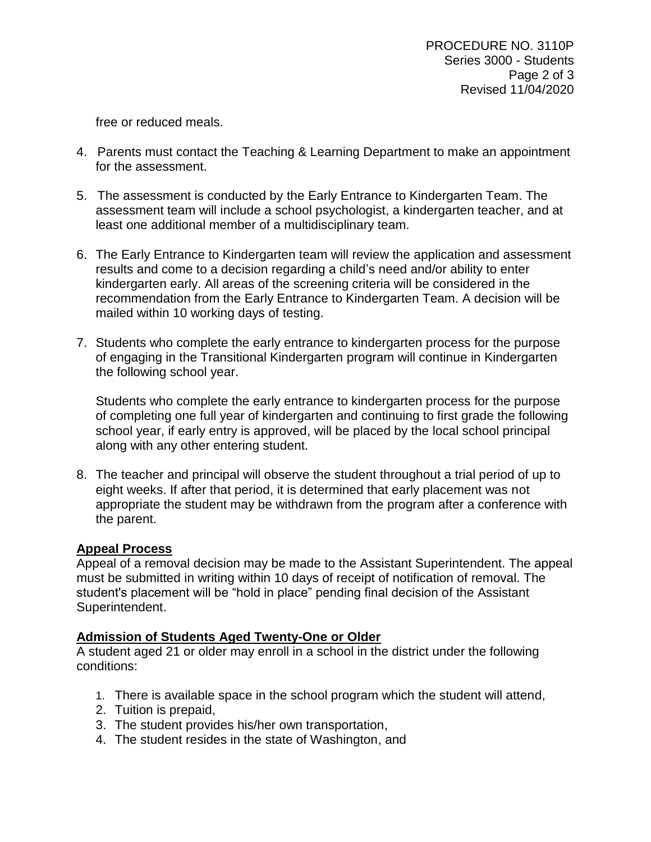free or reduced meals.

- 4. Parents must contact the Teaching & Learning Department to make an appointment for the assessment.
- 5. The assessment is conducted by the Early Entrance to Kindergarten Team. The assessment team will include a school psychologist, a kindergarten teacher, and at least one additional member of a multidisciplinary team.
- 6. The Early Entrance to Kindergarten team will review the application and assessment results and come to a decision regarding a child's need and/or ability to enter kindergarten early. All areas of the screening criteria will be considered in the recommendation from the Early Entrance to Kindergarten Team. A decision will be mailed within 10 working days of testing.
- 7. Students who complete the early entrance to kindergarten process for the purpose of engaging in the Transitional Kindergarten program will continue in Kindergarten the following school year.

Students who complete the early entrance to kindergarten process for the purpose of completing one full year of kindergarten and continuing to first grade the following school year, if early entry is approved, will be placed by the local school principal along with any other entering student.

8. The teacher and principal will observe the student throughout a trial period of up to eight weeks. If after that period, it is determined that early placement was not appropriate the student may be withdrawn from the program after a conference with the parent.

#### **Appeal Process**

Appeal of a removal decision may be made to the Assistant Superintendent. The appeal must be submitted in writing within 10 days of receipt of notification of removal. The student's placement will be "hold in place" pending final decision of the Assistant Superintendent.

## **Admission of Students Aged Twenty-One or Older**

A student aged 21 or older may enroll in a school in the district under the following conditions:

- 1. There is available space in the school program which the student will attend,
- 2. Tuition is prepaid,
- 3. The student provides his/her own transportation,
- 4. The student resides in the state of Washington, and